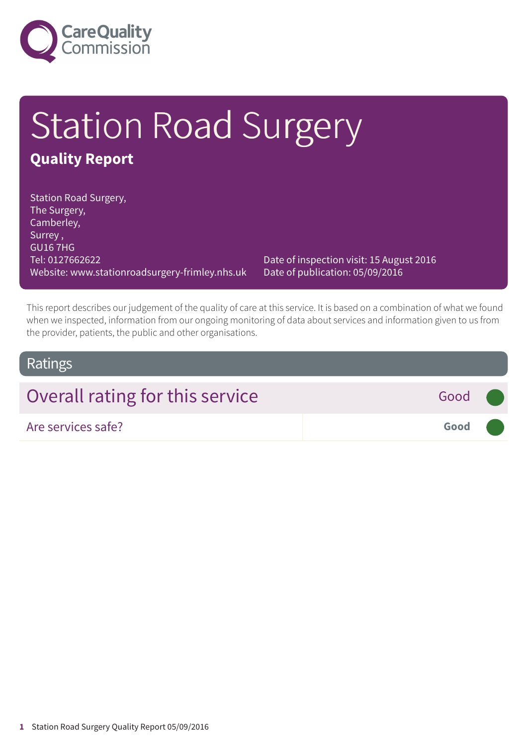

# Station Road Surgery **Quality Report**

Station Road Surgery, The Surgery, Camberley, Surrey , GU16 7HG Tel: 0127662622 Website: www.stationroadsurgery-frimley.nhs.uk

Date of inspection visit: 15 August 2016 Date of publication: 05/09/2016

This report describes our judgement of the quality of care at this service. It is based on a combination of what we found when we inspected, information from our ongoing monitoring of data about services and information given to us from the provider, patients, the public and other organisations.

### Ratings

| Overall rating for this service<br>Good (       |  |
|-------------------------------------------------|--|
| Good <b>Communication</b><br>Are services safe? |  |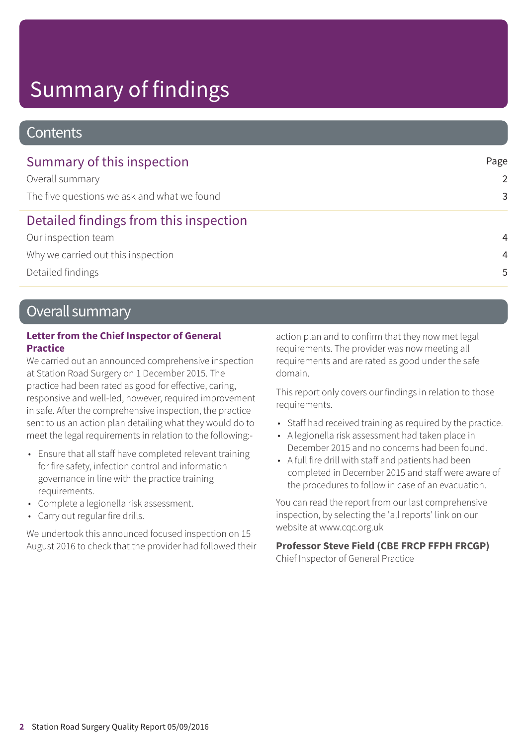## Summary of findings

### **Contents**

| Summary of this inspection                  | Page           |
|---------------------------------------------|----------------|
| Overall summary                             | $\mathcal{P}$  |
| The five questions we ask and what we found | 3              |
| Detailed findings from this inspection      |                |
| Our inspection team                         | $\overline{4}$ |
| Why we carried out this inspection          | $\overline{4}$ |
| Detailed findings                           | .5             |

### Overall summary

#### **Letter from the Chief Inspector of General Practice**

We carried out an announced comprehensive inspection at Station Road Surgery on 1 December 2015. The practice had been rated as good for effective, caring, responsive and well-led, however, required improvement in safe. After the comprehensive inspection, the practice sent to us an action plan detailing what they would do to meet the legal requirements in relation to the following:-

- Ensure that all staff have completed relevant training for fire safety, infection control and information governance in line with the practice training requirements.
- Complete a legionella risk assessment.
- Carry out regular fire drills.

We undertook this announced focused inspection on 15 August 2016 to check that the provider had followed their action plan and to confirm that they now met legal requirements. The provider was now meeting all requirements and are rated as good under the safe domain.

This report only covers our findings in relation to those requirements.

- Staff had received training as required by the practice.
- A legionella risk assessment had taken place in December 2015 and no concerns had been found.
- A full fire drill with staff and patients had been completed in December 2015 and staff were aware of the procedures to follow in case of an evacuation.

You can read the report from our last comprehensive inspection, by selecting the 'all reports' link on our website at www.cqc.org.uk

#### **Professor Steve Field (CBE FRCP FFPH FRCGP)**

Chief Inspector of General Practice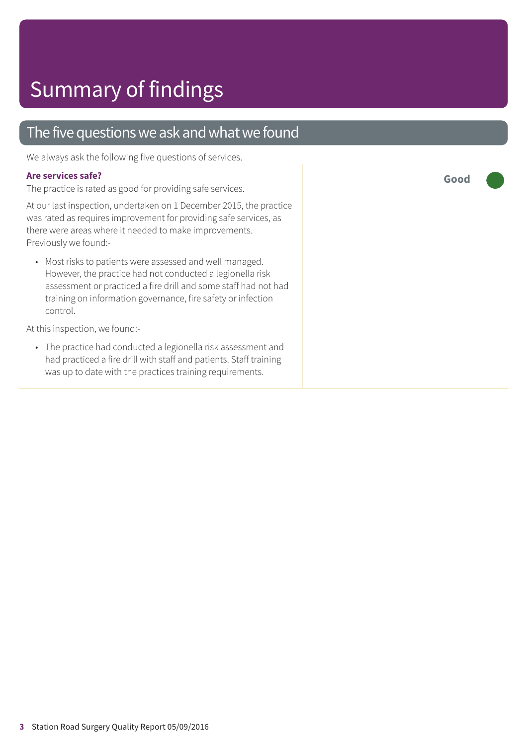### The five questions we ask and what we found

We always ask the following five questions of services.

#### **Are services safe?**

The practice is rated as good for providing safe services.

At our last inspection, undertaken on 1 December 2015, the practice was rated as requires improvement for providing safe services, as there were areas where it needed to make improvements. Previously we found:-

• Most risks to patients were assessed and well managed. However, the practice had not conducted a legionella risk assessment or practiced a fire drill and some staff had not had training on information governance, fire safety or infection control.

At this inspection, we found:-

• The practice had conducted a legionella risk assessment and had practiced a fire drill with staff and patients. Staff training was up to date with the practices training requirements.

**Good –––**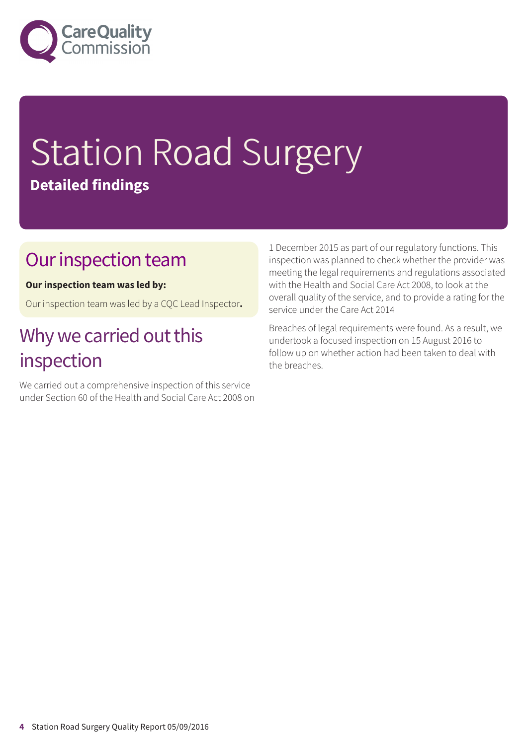

# Station Road Surgery **Detailed findings**

### Our inspection team

#### **Our inspection team was led by:**

Our inspection team was led by a CQC Lead Inspector**.**

## Why we carried out this inspection

We carried out a comprehensive inspection of this service under Section 60 of the Health and Social Care Act 2008 on 1 December 2015 as part of our regulatory functions. This inspection was planned to check whether the provider was meeting the legal requirements and regulations associated with the Health and Social Care Act 2008, to look at the overall quality of the service, and to provide a rating for the service under the Care Act 2014

Breaches of legal requirements were found. As a result, we undertook a focused inspection on 15 August 2016 to follow up on whether action had been taken to deal with the breaches.